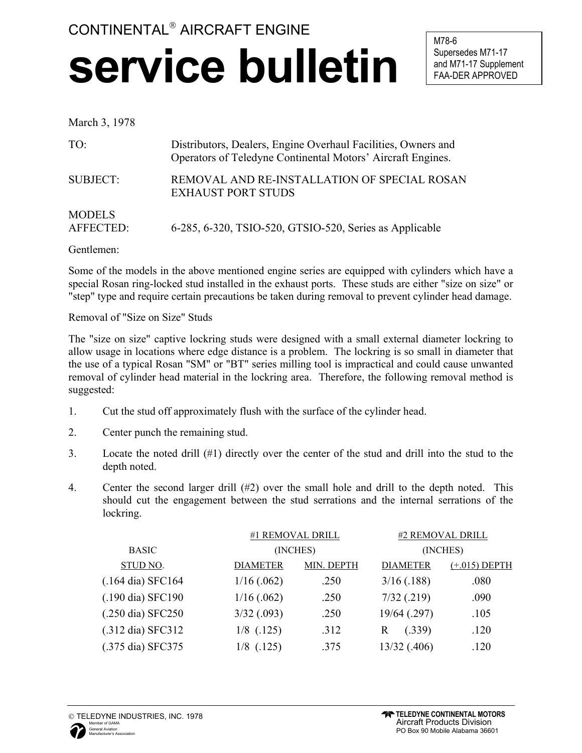## CONTINENTAL<sup>®</sup> AIRCRAFT ENGINE **service bulletin**

M78-6 Supersedes M71-17 and M71-17 Supplement FAA-DER APPROVED

## March 3, 1978

| TO:                        | Distributors, Dealers, Engine Overhaul Facilities, Owners and<br>Operators of Teledyne Continental Motors' Aircraft Engines. |
|----------------------------|------------------------------------------------------------------------------------------------------------------------------|
| <b>SUBJECT:</b>            | REMOVAL AND RE-INSTALLATION OF SPECIAL ROSAN<br><b>EXHAUST PORT STUDS</b>                                                    |
| <b>MODELS</b><br>AFFECTED: | 6-285, 6-320, TSIO-520, GTSIO-520, Series as Applicable                                                                      |

Gentlemen:

Some of the models in the above mentioned engine series are equipped with cylinders which have a special Rosan ring-locked stud installed in the exhaust ports. These studs are either "size on size" or "step" type and require certain precautions be taken during removal to prevent cylinder head damage.

Removal of "Size on Size" Studs

The "size on size" captive lockring studs were designed with a small external diameter lockring to allow usage in locations where edge distance is a problem. The lockring is so small in diameter that the use of a typical Rosan "SM" or "BT" series milling tool is impractical and could cause unwanted removal of cylinder head material in the lockring area. Therefore, the following removal method is suggested:

- 1. Cut the stud off approximately flush with the surface of the cylinder head.
- 2. Center punch the remaining stud.
- 3. Locate the noted drill (#1) directly over the center of the stud and drill into the stud to the depth noted.
- 4. Center the second larger drill  $(\#2)$  over the small hole and drill to the depth noted. This should cut the engagement between the stud serrations and the internal serrations of the lockring.

|                             | #1 REMOVAL DRILL<br>(INCHES) |            | #2 REMOVAL DRILL<br>(INCHES) |                 |
|-----------------------------|------------------------------|------------|------------------------------|-----------------|
| <b>BASIC</b>                |                              |            |                              |                 |
| STUD NO.                    | <b>DIAMETER</b>              | MIN. DEPTH | <b>DIAMETER</b>              | $(+.015)$ DEPTH |
| $(.164 \text{ dia})$ SFC164 | $1/16$ (.062)                | .250       | 3/16(.188)                   | .080            |
| (.190 dia) SFC190           | $1/16$ (.062)                | .250       | $7/32$ (.219)                | .090            |
| (.250 dia) SFC250           | $3/32$ (.093)                | .250       | 19/64 (.297)                 | .105            |
| (.312 dia) SFC312           | $1/8$ (.125)                 | .312       | (.339)<br>R                  | .120            |
| (.375 dia) SFC375           | $1/8$ (.125)                 | .375       | 13/32 (.406)                 | .120            |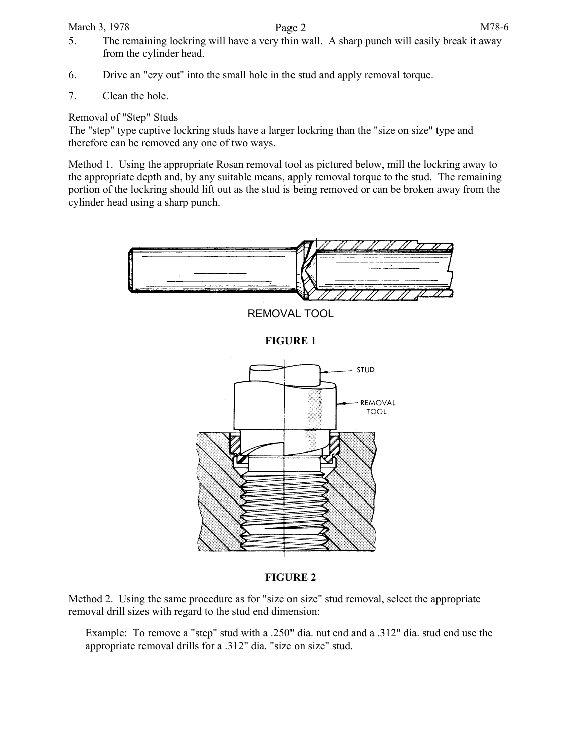March 3, 1978 **Page 2** M78-6 5. The remaining lockring will have a very thin wall. A sharp punch will easily break it away from the cylinder head.

- 6. Drive an "ezy out" into the small hole in the stud and apply removal torque.
- 7. Clean the hole.

Removal of "Step" Studs

The "step" type captive lockring studs have a larger lockring than the "size on size" type and therefore can be removed any one of two ways.

Method 1. Using the appropriate Rosan removal tool as pictured below, mill the lockring away to the appropriate depth and, by any suitable means, apply removal torque to the stud. The remaining portion of the lockring should lift out as the stud is being removed or can be broken away from the cylinder head using a sharp punch.



## **FIGURE 2**

Method 2. Using the same procedure as for "size on size" stud removal, select the appropriate removal drill sizes with regard to the stud end dimension:

Example: To remove a "step" stud with a .250" dia. nut end and a .312" dia. stud end use the appropriate removal drills for a .312" dia. "size on size" stud.